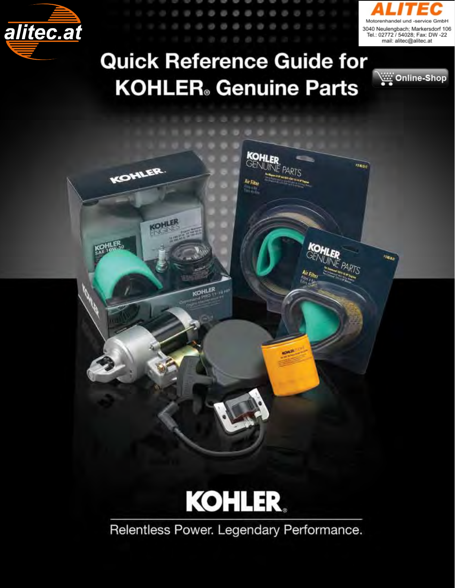



Online-Shop

**SERIES** 

**TEAR** 

# **Palitec.at**<br>
Quick Reference Guide for **KOHLER** Genuine Parts

KOHLER

**KOHLER** 

KOHLER

KOHLER

18,400

KOHLER<br>GENUNE PARTS

Air Filter сn



Relentless Power. Legendary Performance.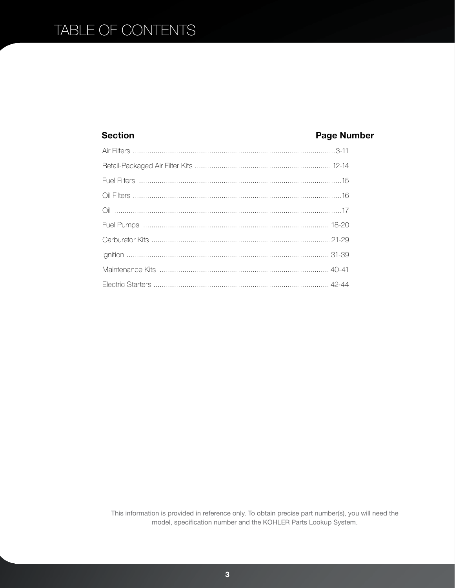### TABLE OF CONTENTS

#### **Section**

#### **Page Number**

This information is provided in reference only. To obtain precise part number(s), you will need the model, specification number and the KOHLER Parts Lookup System.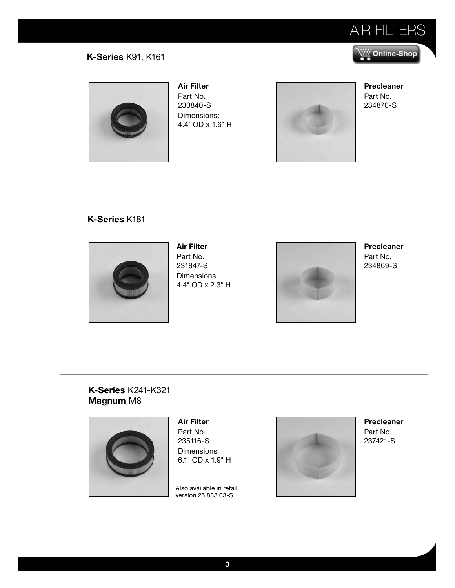

#### **K-Series** K91, K161



**Air Filter**  Part No. 230840-S Dimensions: 4.4" OD x 1.6" H



**Precleaner**  Part No. 234870-S

#### **K-Series** K181



**Air Filter**  Part No. 231847-S Dimensions 4.4" OD x 2.3" H



**Precleaner**  Part No. 234869-S

**K-Series** K241-K321 **Magnum** M8



**Air Filter**  Part No. 235116-S **Dimensions** 6.1" OD x 1.9" H

Also available in retail version 25 883 03-S1



**Precleaner**  Part No. 237421-S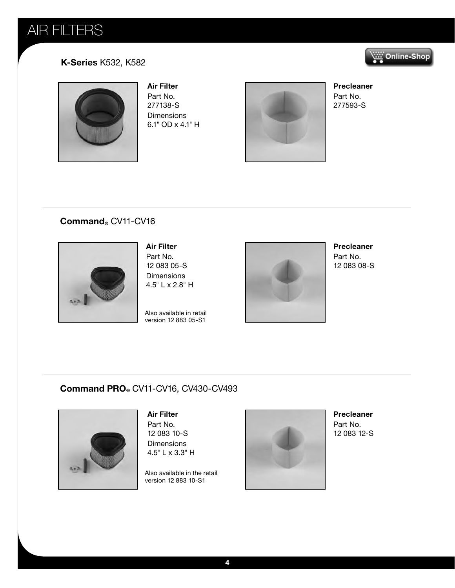## AIR FILTERS



#### **K-Series** K532, K582



**Air Filter** 

Part No. 277138-S Dimensions 6.1" OD x 4.1" H



**Precleaner**  Part No. 277593-S

#### **Command®** CV11-CV16



**Air Filter**  Part No. 12 083 05-S Dimensions 4.5" L x 2.8" H

Also available in retail version 12 883 05-S1



**Precleaner** 

Part No. 12 083 08-S

#### **Command PRO®** CV11-CV16, CV430-CV493



**Air Filter**  Part No. 12 083 10-S

**Dimensions** 4.5" L x 3.3" H

Also available in the retail version 12 883 10-S1



**Precleaner**  Part No. 12 083 12-S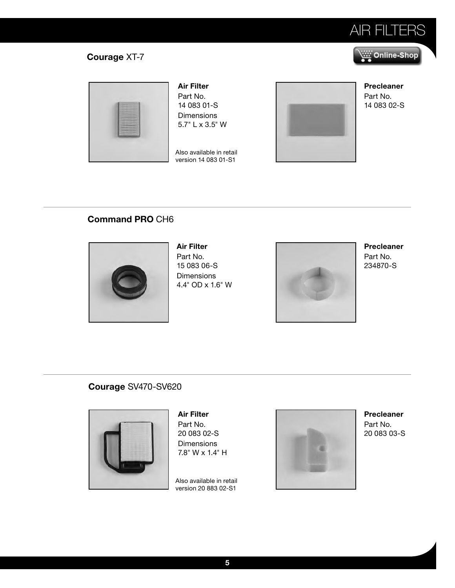

Online-Shop بِنْتَيْنِ

### **Courage** XT-7



**Air Filter** 

Part No. 14 083 01-S Dimensions 5.7" L x 3.5" W

Also available in retail version 14 083 01-S1



**Precleaner**  Part No. 14 083 02-S

#### **Command PRO** CH6



**Air Filter**  Part No. 15 083 06-S Dimensions 4.4" OD x 1.6" W



**Precleaner**  Part No. 234870-S

#### **Courage** SV470-SV620



**Air Filter**  Part No. 20 083 02-S **Dimensions** 7.8" W x 1.4" H

Also available in retail version 20 883 02-S1



**Precleaner**  Part No. 20 083 03-S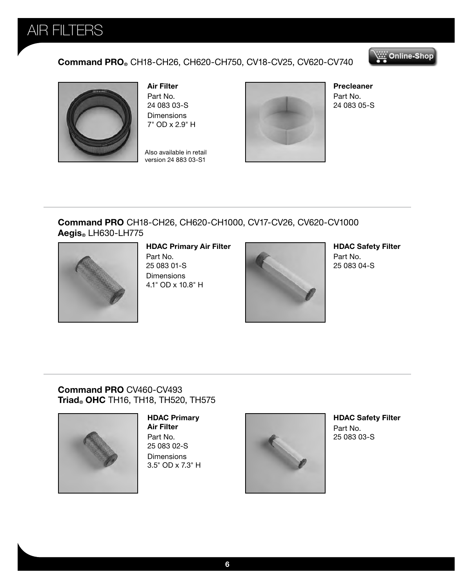

#### **Command PRO®** CH18-CH26, CH620-CH750, CV18-CV25, CV620-CV740





**Air Filter**  Part No. 24 083 03-S Dimensions 7" OD x 2.9" H

Also available in retail version 24 883 03-S1



**Precleaner**  Part No. 24 083 05-S

#### **Command PRO** CH18-CH26, CH620-CH1000, CV17-CV26, CV620-CV1000 **Aegis®** LH630-LH775



#### **HDAC Primary Air Filter**

Part No. 25 083 01-S **Dimensions** 4.1" OD x 10.8" H



**HDAC Safety Filter** Part No. 25 083 04-S

#### **Command PRO** CV460-CV493 **Triad® OHC** TH16, TH18, TH520, TH575



#### **HDAC Primary**

**Air Filter** Part No. 25 083 02-S **Dimensions** 3.5" OD x 7.3" H



**HDAC Safety Filter** Part No. 25 083 03-S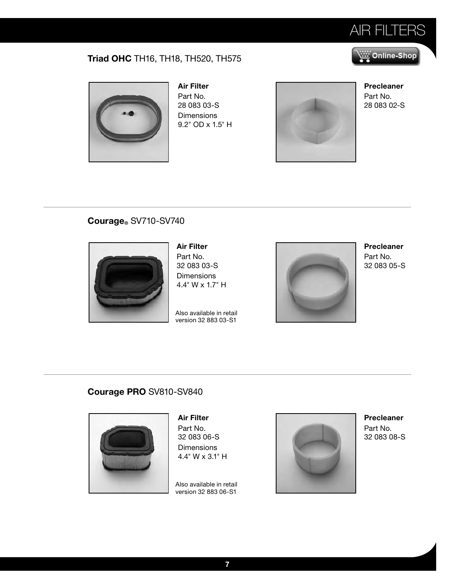

Online-Shop بِنْتَيْنِ

### **Triad OHC** TH16, TH18, TH520, TH575



**Air Filter**  Part No. 28 083 03-S **Dimensions** 9.2" OD x 1.5" H



**Precleaner**  Part No. 28 083 02-S

#### **Courage®** SV710-SV740



**Air Filter**  Part No. 32 083 03-S Dimensions 4.4" W x 1.7" H

Also available in retail version 32 883 03-S1



**Precleaner**  Part No. 32 083 05-S

#### **Courage PRO** SV810-SV840



**Air Filter**  Part No. 32 083 06-S **Dimensions** 4.4" W x 3.1" H

Also available in retail version 32 883 06-S1



**Precleaner**  Part No. 32 083 08-S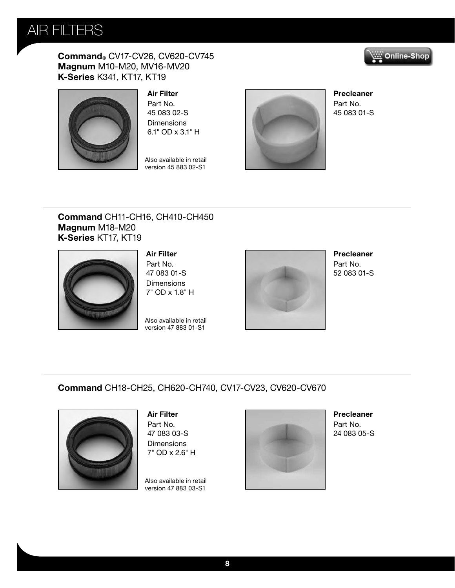

**Command®** CV17-CV26, CV620-CV745 **Magnum** M10-M20, MV16-MV20 **K-Series** K341, KT17, KT19





**Air Filter**  Part No. 45 083 02-S **Dimensions** 

Also available in retail version 45 883 02-S1

6.1" OD x 3.1" H



**Precleaner**  Part No. 45 083 01-S

#### **Command** CH11-CH16, CH410-CH450 **Magnum** M18-M20 **K-Series** KT17, KT19



**Air Filter**  Part No. 47 083 01-S **Dimensions** 7" OD x 1.8" H

Also available in retail version 47 883 01-S1



**Precleaner**  Part No. 52 083 01-S

#### **Command** CH18-CH25, CH620-CH740, CV17-CV23, CV620-CV670



**Air Filter**  Part No. 47 083 03-S **Dimensions** 7" OD x 2.6" H

Also available in retail version 47 883 03-S1



**Precleaner**  Part No. 24 083 05-S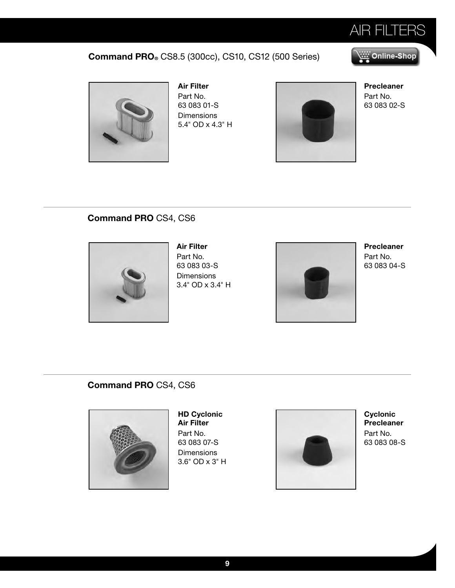

#### **Command PRO®** CS8.5 (300cc), CS10, CS12 (500 Series)

#### Online-Shop بِيُنَيْنِ



**Air Filter**  Part No. 63 083 01-S **Dimensions** 5.4" OD x 4.3" H



**Precleaner**  Part No. 63 083 02-S

#### **Command PRO** CS4, CS6



**Air Filter**  Part No. 63 083 03-S **Dimensions** 3.4" OD x 3.4" H



**Precleaner**  Part No. 63 083 04-S

#### **Command PRO** CS4, CS6



**HD Cyclonic Air Filter**  Part No. 63 083 07-S **Dimensions** 3.6" OD x 3" H



**Cyclonic Precleaner**  Part No. 63 083 08-S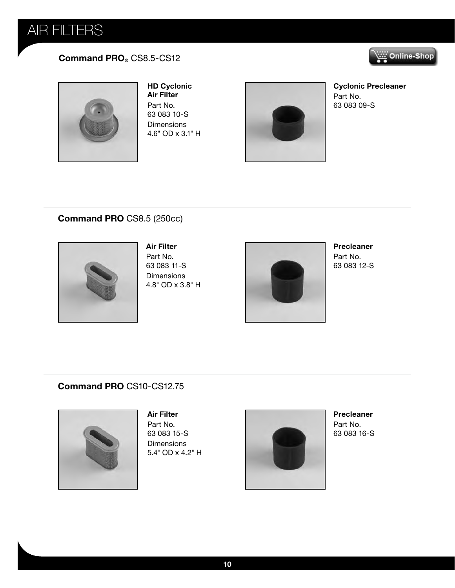## AIR FILTERS

#### **Command PRO®** CS8.5-CS12





**HD Cyclonic Air Filter**  Part No. 63 083 10-S **Dimensions** 4.6" OD x 3.1" H



**Cyclonic Precleaner**  Part No. 63 083 09-S

#### **Command PRO** CS8.5 (250cc)



**Air Filter**  Part No. 63 083 11-S Dimensions 4.8" OD x 3.8" H



**Precleaner** 

Part No. 63 083 12-S

#### **Command PRO** CS10-CS12.75



**Air Filter**  Part No. 63 083 15-S **Dimensions** 5.4" OD x 4.2" H



**Precleaner**  Part No. 63 083 16-S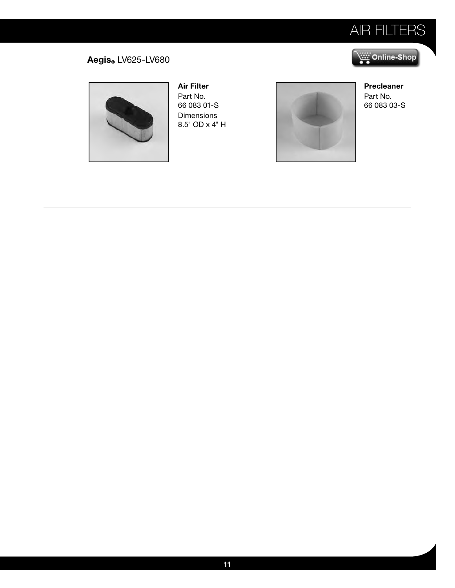

Online-Shop

#### **Aegis®** LV625-LV680



**Air Filter**  Part No. 66 083 01-S Dimensions 8.5" OD x 4" H



**Precleaner**  Part No. 66 083 03-S

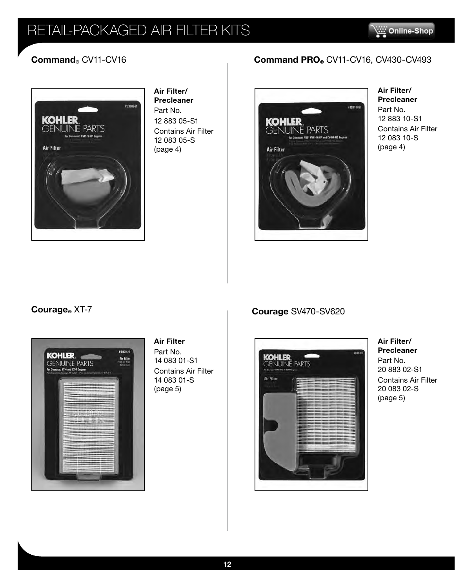## RETAIL-PACKAGED AIR FILTER KITS

Ξ



**Air Filter/ Precleaner**  Part No. 12 883 05-S1 Contains Air Filter 12 083 05-S (page 4)

### **Command®** CV11-CV16 **Command PRO®** CV11-CV16, CV430-CV493



#### **Air Filter/ Precleaner**

Part No. 12 883 10-S1 Contains Air Filter 12 083 10-S (page 4)



#### **Air Filter**

Part No. 14 083 01-S1 Contains Air Filter 14 083 01-S (page 5)

### **Courage®** XT-7 **Courage** SV470-SV620



**Air Filter/ Precleaner**  Part No. 20 883 02-S1 Contains Air Filter 20 083 02-S (page 5)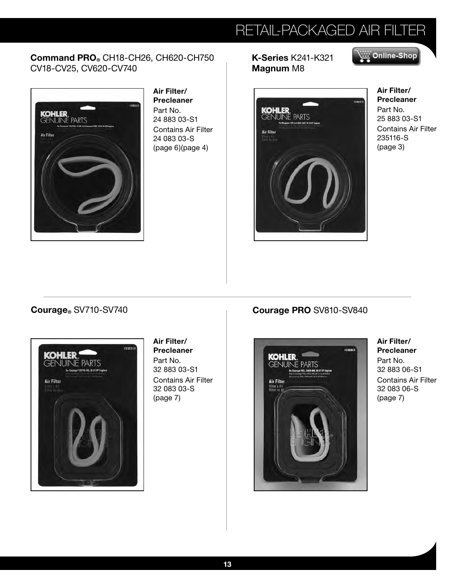## RETAIL-PACKAGED AIR FILTER

#### **Command PRO®** CH18-CH26, CH620-CH750 CV18-CV25, CV620-CV740



**Air Filter/ Precleaner**  Part No. 24 883 03-S1 Contains Air Filter 24 083 03-S (page 6)(page 4)

**K-Series** K241-K321 **Magnum** M8



**Air Filter/ Precleaner**  Part No. 25 883 03-S1 Contains Air Filter 235116-S (page 3)

Online-Shop بِنْنَيْنِ



#### **Air Filter/ Precleaner**

Part No. 32 883 03-S1 Contains Air Filter 32 083 03-S (page 7)

#### **Courage** SV710-SV740 **Courage PRO** SV810-SV840



**Air Filter/ Precleaner**  Part No. 32 883 06-S1 Contains Air Filter 32 083 06-S (page 7)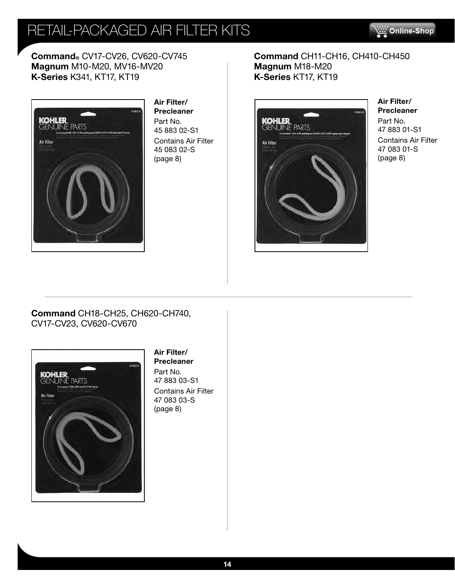## RETAIL-PACKAGED AIR FILTER KITS



**Command®** CV17-CV26, CV620-CV745 **Magnum** M10-M20, MV16-MV20 **K-Series** K341, KT17, KT19



**Air Filter/ Precleaner**  Part No. 45 883 02-S1 Contains Air Filter 45 083 02-S (page 8)

#### **Command** CH11-CH16, CH410-CH450 **Magnum** M18-M20 **K-Series** KT17, KT19



**Air Filter/ Precleaner**  Part No. 47 883 01-S1 Contains Air Filter 47 083 01-S (page 8)

**Command** CH18-CH25, CH620-CH740, CV17-CV23, CV620-CV670



#### **Air Filter/ Precleaner**

Part No. 47 883 03-S1 Contains Air Filter 47 083 03-S (page 8)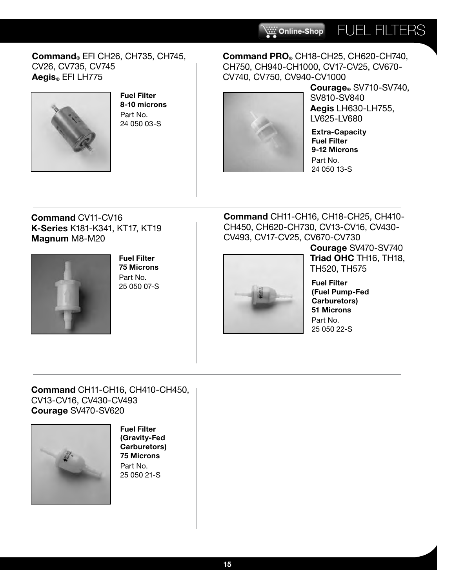#### **Command®** EFI CH26, CH735, CH745, CV26, CV735, CV745 **Aegis®** EFI LH775



**Fuel Filter 8-10 microns** Part No. 24 050 03-S



CV740, CV750, CV940-CV1000 **Courage®** SV710-SV740, SV810-SV840 **Aegis** LH630-LH755, LV625-LV680

FUEL FILTERS

**Extra-Capacity Fuel Filter 9-12 Microns** Part No. 24 050 13-S

#### **Command** CV11-CV16 **K-Series** K181-K341, KT17, KT19 **Magnum** M8-M20



**Fuel Filter 75 Microns**  Part No. 25 050 07-S

**Command** CH11-CH16, CH18-CH25, CH410- CH450, CH620-CH730, CV13-CV16, CV430- CV493, CV17-CV25, CV670-CV730

**Command PRO®** CH18-CH25, CH620-CH740, CH750, CH940-CH1000, CV17-CV25, CV670-

Online-Shop



**Courage** SV470-SV740 **Triad OHC** TH16, TH18, TH520, TH575

**Fuel Filter (Fuel Pump-Fed Carburetors) 51 Microns** Part No. 25 050 22-S

#### **Command** CH11-CH16, CH410-CH450, CV13-CV16, CV430-CV493 **Courage** SV470-SV620



**Fuel Filter (Gravity-Fed Carburetors) 75 Microns** Part No. 25 050 21-S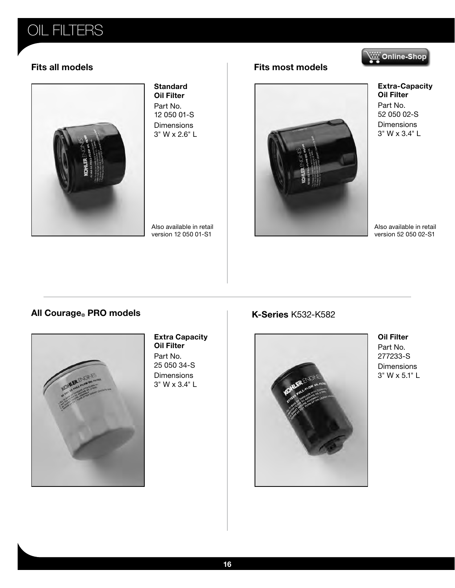### OIL FILTERS

### Online-Shop



#### **Standard Oil Filter**

Part No. 12 050 01-S **Dimensions** 3" W x 2.6" L

Also available in retail version 12 050 01-S1

#### **Fits all models Fits most models**



**Extra-Capacity Oil Filter**  Part No. 52 050 02-S **Dimensions** 3" W x 3.4" L

Also available in retail version 52 050 02-S1

#### **All Courage PRO models K-Series** K532-K582



**Extra Capacity Oil Filter**  Part No. 25 050 34-S Dimensions 3" W x 3.4" L



**Oil Filter**  Part No. 277233-S **Dimensions** 3" W x 5.1" L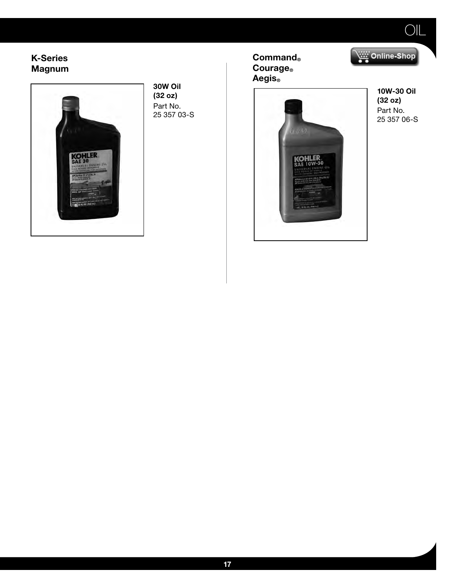#### **K-Series Magnum**



**30W Oil (32 oz)**  Part No. 25 357 03-S **Command® Courage® Aegis®**



**10W-30 Oil (32 oz)** Part No. 25 357 06-S

Online-Shop

OIL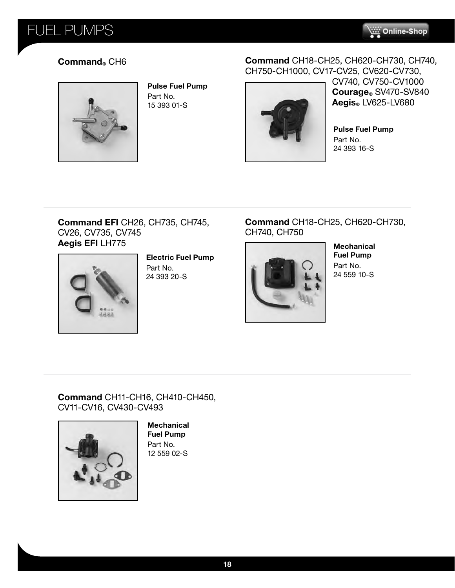### FUEL PUMPS



#### **Command®** CH6



**Pulse Fuel Pump**  Part No. 15 393 01-S

#### **Command** CH18-CH25, CH620-CH730, CH740, CH750-CH1000, CV17-CV25, CV620-CV730,



CV740, CV750-CV1000 **Courage®** SV470-SV840 **Aegis®** LV625-LV680

**Pulse Fuel Pump**  Part No. 24 393 16-S

#### **Command EFI** CH26, CH735, CH745, CV26, CV735, CV745 **Aegis EFI** LH775



**Electric Fuel Pump** Part No. 24 393 20-S

#### **Command** CH18-CH25, CH620-CH730, CH740, CH750



**Mechanical Fuel Pump** Part No. 24 559 10-S

#### **Command** CH11-CH16, CH410-CH450, CV11-CV16, CV430-CV493



**Mechanical Fuel Pump** Part No. 12 559 02-S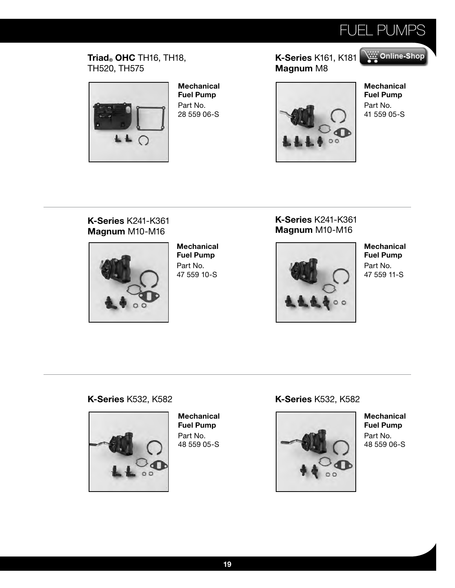

#### **Triad® OHC** TH16, TH18, TH520, TH575



**Mechanical Fuel Pump**  Part No. 28 559 06-S

#### **K-Series** K161, K18[1](http://shop.alitec.at) **Magnum** M8



**Mechanical Fuel Pump**  Part No. 41 559 05-S

Online-Shop

#### **K-Series** K241-K361 **Magnum** M10-M16



**Mechanical Fuel Pump**  Part No. 47 559 10-S

#### **K-Series** K241-K361 **Magnum** M10-M16



**Mechanical Fuel Pump**  Part No. 47 559 11-S

#### **K-Series** K532, K582 **K-Series** K532, K582



**Mechanical Fuel Pump**  Part No. 48 559 05-S



**Mechanical Fuel Pump**  Part No. 48 559 06-S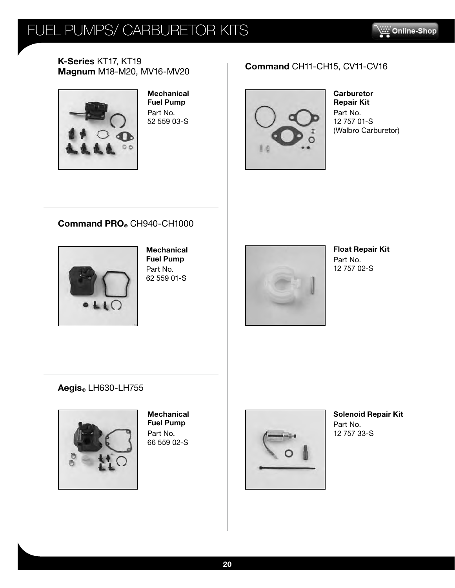## FUEL PUMPS/ CARBURETOR KITS



**K-Series** KT17, KT19 **Magnum** M18-M20, MV16-MV20 **Command** CH11-CH15, CV11-CV16



**Mechanical Fuel Pump**  Part No. 52 559 03-S



**Carburetor Repair Kit**  Part No. 12 757 01-S (Walbro Carburetor)

#### **Command PRO®** CH940-CH1000



**Mechanical Fuel Pump**  Part No. 62 559 01-S



**Float Repair Kit**  Part No. 12 757 02-S

**Aegis®** LH630-LH755



**Mechanical Fuel Pump**  Part No. 66 559 02-S



**Solenoid Repair Kit**  Part No. 12 757 33-S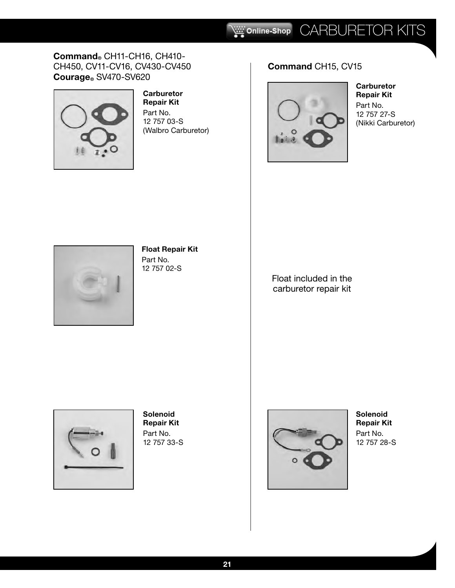#### **Command®** CH11-CH16, CH410- CH450, CV11-CV16, CV430-CV450 **Courage®** SV470-SV620



#### **Carburetor Repair Kit**

Part No. 12 757 03-S (Walbro Carburetor)

### **Command** CH15, CV15



**Carburetor Repair Kit**  Part No. 12 757 27-S (Nikki Carburetor)



#### **Float Repair Kit**  Part No. 12 757 02-S

Float included in the carburetor repair kit



**Solenoid Repair Kit**  Part No. 12 757 33-S



**Solenoid Repair Kit**  Part No. 12 757 28-S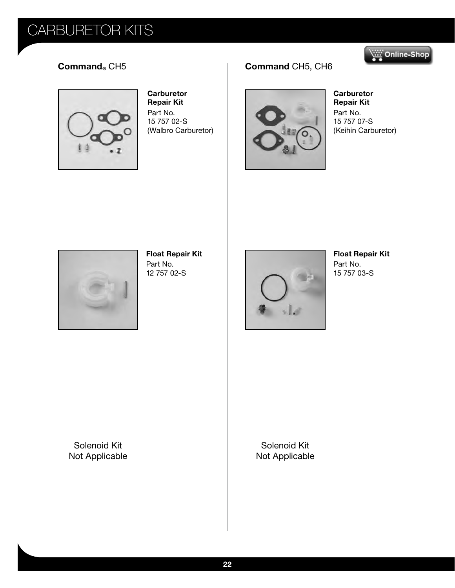



**Carburetor Repair Kit**  Part No. 15 757 02-S (Walbro Carburetor)

### **Command®** CH5 **Command** CH5, CH6



**Carburetor Repair Kit**  Part No. 15 757 07-S (Keihin Carburetor)



**Float Repair Kit**  Part No. 12 757 02-S



**Float Repair Kit**  Part No. 15 757 03-S

Solenoid Kit Not Applicable

Solenoid Kit Not Applicable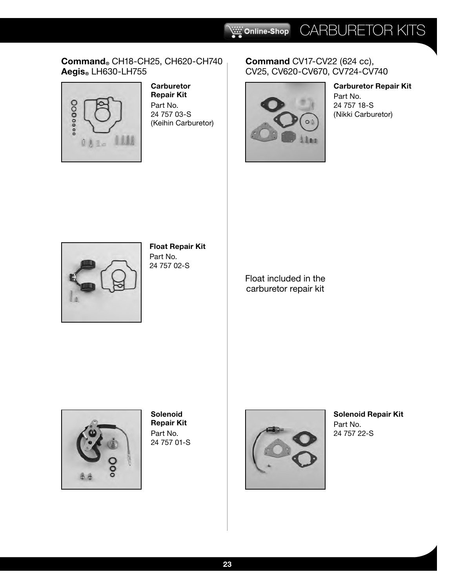#### **Command®** CH18-CH25, CH620-CH740 **Aegis®** LH630-LH755



#### **Carburetor Repair Kit**  Part No. 24 757 03-S (Keihin Carburetor)

#### **Command** CV17-CV22 (624 cc), CV25, CV620-CV670, CV724-CV740



### **Carburetor Repair Kit**

Part No. 24 757 18-S (Nikki Carburetor)



#### **Float Repair Kit**  Part No.

24 757 02-S

Float included in the carburetor repair kit



**Solenoid Repair Kit**  Part No. 24 757 01-S



**Solenoid Repair Kit**  Part No. 24 757 22-S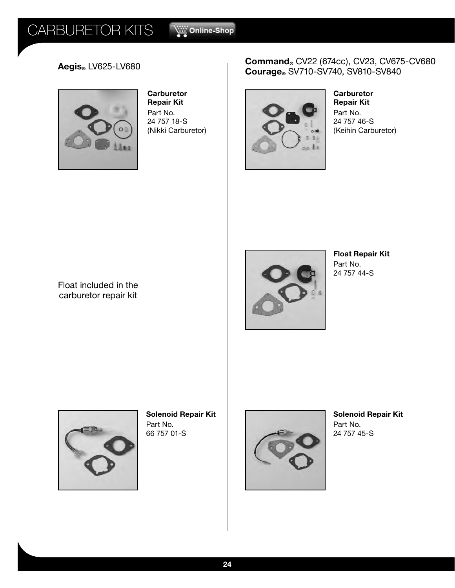

**Carburetor Repair Kit**  Part No. 24 757 18-S (Nikki Carburetor)

#### **Aegis**® LV625-LV680 **Command**® CV22 (674cc), CV23, CV675-CV680 **Courage®** SV710-SV740, SV810-SV840



**Carburetor Repair Kit**  Part No. 24 757 46-S (Keihin Carburetor)





**Float Repair Kit**  Part No. 24 757 44-S



**Solenoid Repair Kit**  Part No. 66 757 01-S



**Solenoid Repair Kit**  Part No. 24 757 45-S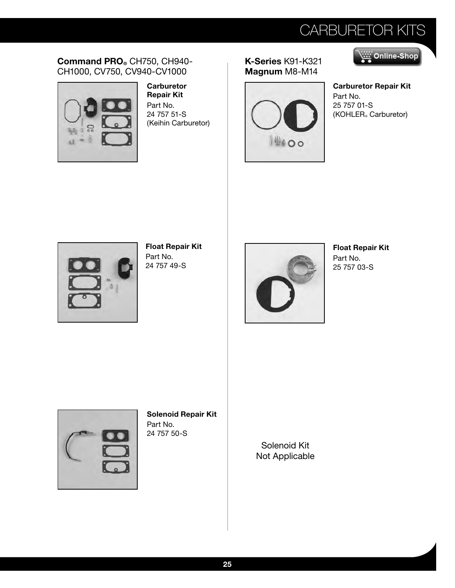#### **Command PRO®** CH750, CH940- CH1000, CV750, CV940-CV1000



**Carburetor Repair Kit**  Part No. 24 757 51-S (Keihin Carburetor)

**K-Series** K91-K321 **Magnum** M8-M14





**Carburetor Repair Kit**  Part No. 25 757 01-S (KOHLER® Carburetor)



**Float Repair Kit**  Part No. 24 757 49-S



**Float Repair Kit**  Part No. 25 757 03-S



**Solenoid Repair Kit**  Part No. 24 757 50-S

Solenoid Kit Not Applicable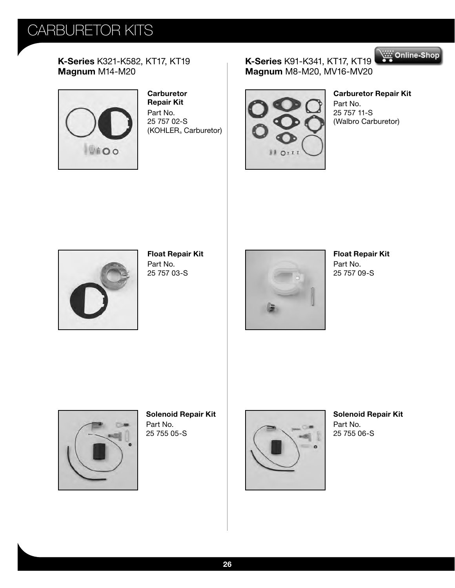**K-Series** K321-K582, KT17, KT19 **Magnum** M14-M20



**Carburetor Repair Kit**  Part No. 25 757 02-S (KOHLER® Carburetor)

**K-Series** K91-K341, KT17, KT1[9](http://shop.alitec.at) **Magnum** M8-M20, MV16-MV20



**Carburetor Repair Kit** 

Online-Shop

Part No. 25 757 11-S (Walbro Carburetor)



**Float Repair Kit**  Part No. 25 757 03-S



**Float Repair Kit**  Part No. 25 757 09-S



**Solenoid Repair Kit**  Part No. 25 755 05-S



**Solenoid Repair Kit**  Part No. 25 755 06-S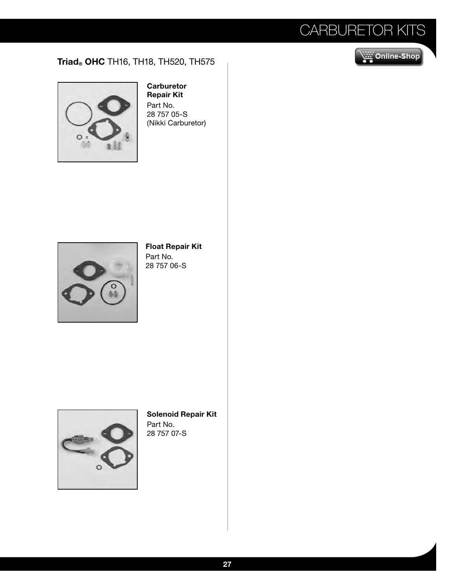#### **Triad® OHC** TH16, TH18, TH520, TH575





#### **Carburetor Repair Kit**

Part No. 28 757 05-S (Nikki Carburetor)



#### **Float Repair Kit**  Part No. 28 757 06-S



**Solenoid Repair Kit**  Part No. 28 757 07-S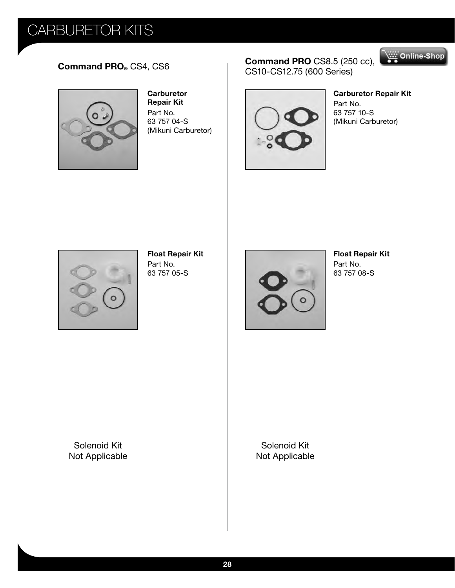

**Carburetor Repair Kit**  Part No. 63 757 04-S (Mikuni Carburetor)

#### **Command PRO®** CS4[,](http://shop.alitec.at) CS6 **COMMAND COMMAND CONS** (250 cc), CS10-CS12.75 (600 Series)



#### **Carburetor Repair Kit**

Online-Shop

Part No. 63 757 10-S (Mikuni Carburetor)



**Float Repair Kit**  Part No. 63 757 05-S



#### **Float Repair Kit**  Part No. 63 757 08-S

Solenoid Kit Not Applicable

Solenoid Kit Not Applicable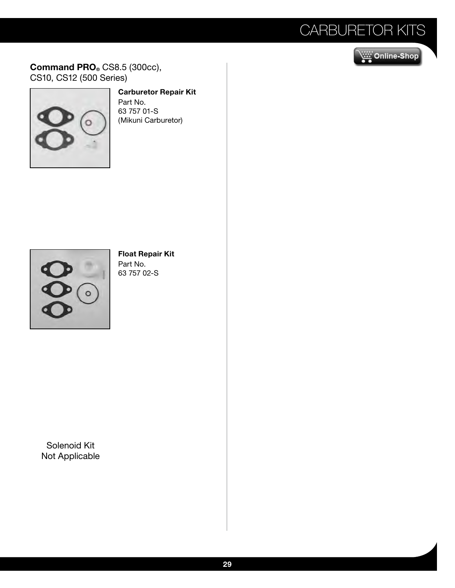### Online-Shop

**Command PRO®** CS8.5 (300cc), CS10, CS12 (500 Series)



#### **Carburetor Repair Kit**

Part No. 63 757 01-S (Mikuni Carburetor)



#### **Float Repair Kit**  Part No. 63 757 02-S

Solenoid Kit Not Applicable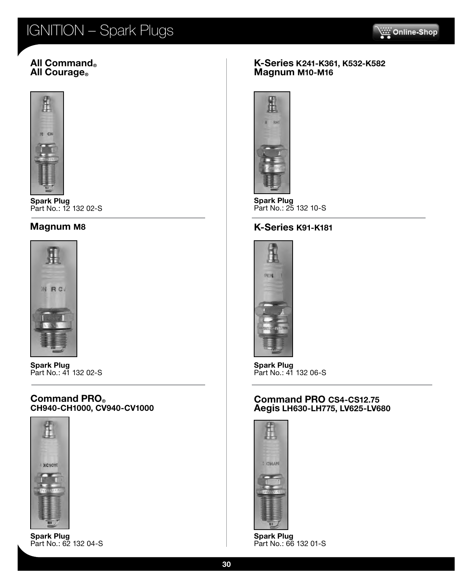## IGNITION – Spark Plugs



#### **All Command® All Courage**®



**Spark Plug** Part No.: 12 132 02-S



**Spark Plug** Part No.: 41 132 02-S

#### **Command PRO® CH940-CH1000, CV940-CV1000**



**Spark Plug** Part No.: 62 132 04-S

#### **K-Series K241-K361, K532-K582 Magnum M10-M16**



**Spark Plug** Part No.: 25 132 10-S

#### **Magnum M8 K-Series K91-K181**



**Spark Plug** Part No.: 41 132 06-S

#### **Command PRO CS4-CS12.75 Aegis LH630-LH775, LV625-LV680**



**Spark Plug** Part No.: 66 132 01-S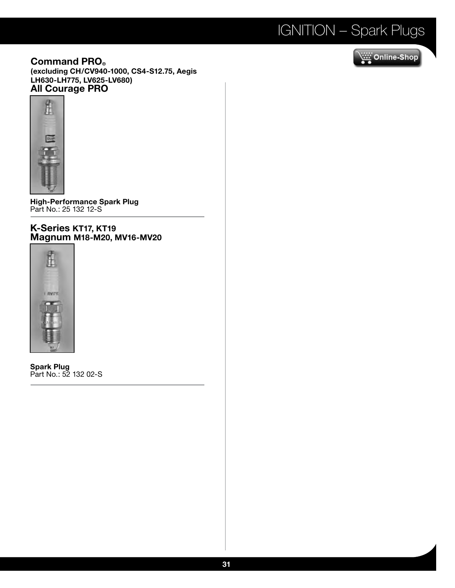## IGNITION – Spark Plugs

**Command PRO® (excluding CH/CV940-1000, CS4-S12.75, Aegis LH630-LH775, LV625-LV680) All Courage PRO**



**High-Performance Spark Plug** Part No.: 25 132 12-S

#### **K-Series KT17, KT19 Magnum M18-M20, MV16-MV20**



**Spark Plug** Part No.: 52 132 02-S

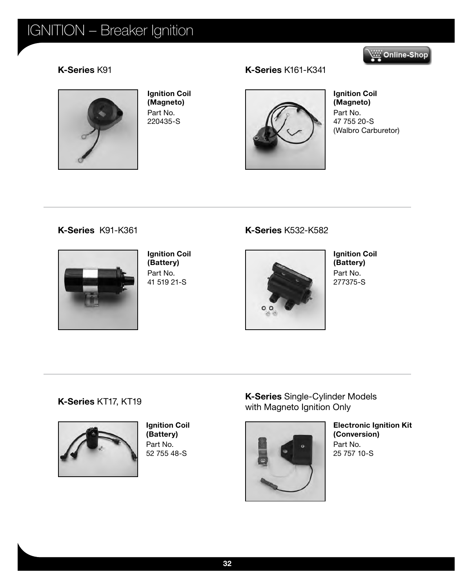## IGNITION – Breaker Ignition

### Online-Shop

#### **K-Series** K91



**Ignition Coil (Magneto)**  Part No. 220435-S

#### **K-Series** K161-K341



**Ignition Coil (Magneto)**  Part No. 47 755 20-S (Walbro Carburetor)

#### **K-Series** K91-K361



**Ignition Coil (Battery)**  Part No. 41 519 21-S

#### **K-Series** K532-K582



**Ignition Coil (Battery)**  Part No. 277375-S

#### **K-Series** KT17, KT19



**Ignition Coil (Battery)**  Part No. 52 755 48-S

**K-Series** Single-Cylinder Models with Magneto Ignition Only



**Electronic Ignition Kit (Conversion)**  Part No. 25 757 10-S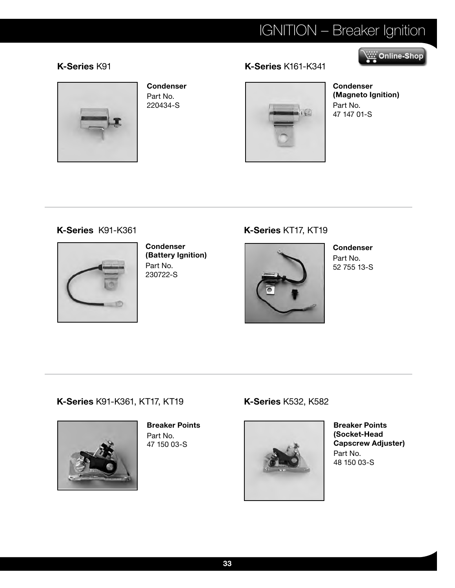## IGNITION – Breaker Ignition

### Online-Shop

#### **K-Series** K91 **K-Series** K161-K341



#### **Condenser**  Part No. 220434-S

**Condenser (Magneto Ignition)**  Part No. 47 147 01-S

#### **K-Series** K91-K361



**Condenser (Battery Ignition)**  Part No. 230722-S

### **K-Series** KT17, KT19



**Condenser**  Part No. 52 755 13-S

#### **K-Series** K91-K361, KT17, KT19



**Breaker Points**  Part No. 47 150 03-S

#### **K-Series** K532, K582



**Breaker Points (Socket-Head Capscrew Adjuster)**  Part No. 48 150 03-S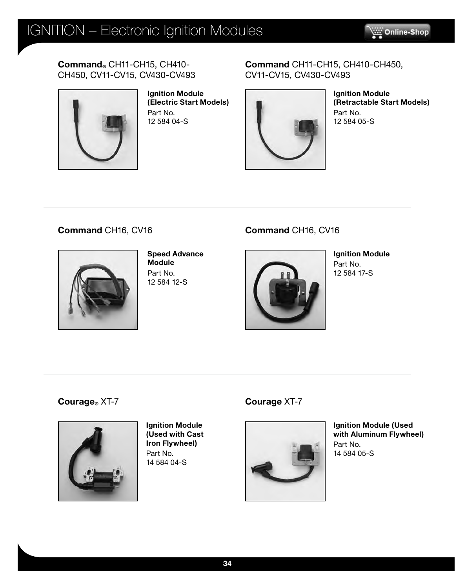**Command®** CH11-CH15, CH410- CH450, CV11-CV15, CV430-CV493



**Ignition Module (Electric Start Models)**  Part No. 12 584 04-S

#### **Command** CH11-CH15, CH410-CH450, CV11-CV15, CV430-CV493



**Ignition Module (Retractable Start Models)**  Part No. 12 584 05-S

### **Command** CH16, CV16



**Speed Advance Module**  Part No. 12 584 12-S

### **Command** CH16, CV16



**Ignition Module**  Part No. 12 584 17-S

**Courage®** XT-7



**Ignition Module (Used with Cast Iron Flywheel)** Part No. 14 584 04-S

#### **Courage** XT-7



**Ignition Module (Used with Aluminum Flywheel)**  Part No. 14 584 05-S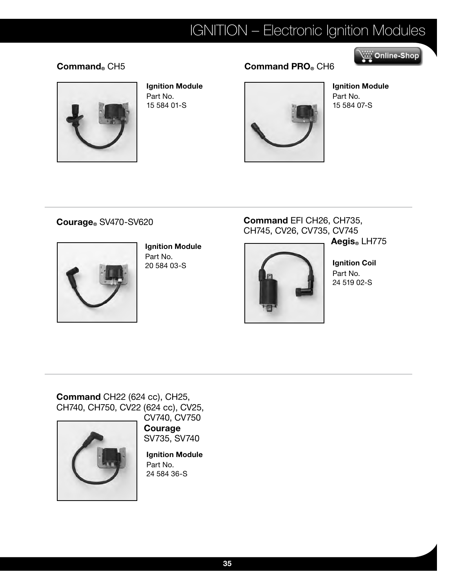### IGNITION – Electronic Ignition Modules

### Online-Shop



**Ignition Module**  Part No. 15 584 01-S

### **Command®** CH5 **Command PRO®** CH6



**Ignition Module**  Part No. 15 584 07-S

#### **Courage®** SV470-SV620



**Ignition Module**  Part No. 20 584 03-S

### **Command** EFI CH26, CH735, CH745, CV26, CV735, CV745

**Aegis®** LH775

**Ignition Coil**  Part No. 24 519 02-S

**Command** CH22 (624 cc), CH25, CH740, CH750, CV22 (624 cc), CV25,



CV740, CV750 **Courage** 

SV735, SV740

**Ignition Module**  Part No. 24 584 36-S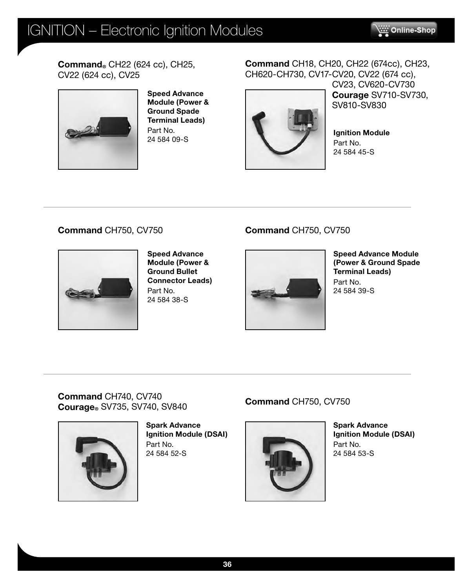**Command®** CH22 (624 cc), CH25, CV22 (624 cc), CV25



**Speed Advance Module (Power & Ground Spade Terminal Leads)**  Part No. 24 584 09-S

### **Command** CH18, CH20, CH22 (674cc), CH23, CH620-CH730, CV17-CV20, CV22 (674 cc),



CV23, CV620-CV730 **Courage** SV710-SV730, SV810-SV830

**Ignition Module**  Part No. 24 584 45-S

### **Command** CH750, CV750



**Speed Advance Module (Power & Ground Bullet Connector Leads)**  Part No. 24 584 38-S

### **Command** CH750, CV750



**Speed Advance Module (Power & Ground Spade Terminal Leads)** Part No. 24 584 39-S

**Command** CH740, CV740 **Courage®** SV735, SV740, SV840



**Spark Advance Ignition Module (DSAI)**  Part No. 24 584 52-S

### **Command** CH750, CV750



**Spark Advance Ignition Module (DSAI)**  Part No. 24 584 53-S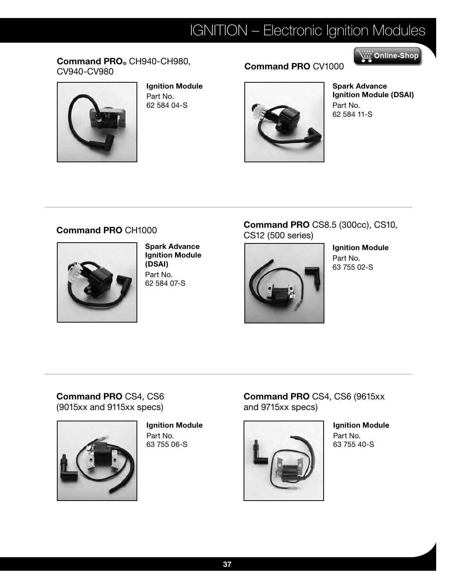## IGNITION – Electronic Ignition Modules

#### **Command PRO®** CH940-CH980, **Command PRO** CH940-CH960, **Command PRO** CV1000



**Ignition Module**  Part No. 62 584 04-S



**Spark Advance Ignition Module (DSAI)**  Part No. 62 584 11-S

Online-Shop بِيْنَيْنِ

#### **Command PRO** CH1000



**Spark Advance Ignition Module (DSAI)**  Part No. 62 584 07-S

#### **Command PRO** CS8.5 (300cc), CS10, CS12 (500 series)



**Ignition Module**  Part No. 63 755 02-S

**Command PRO** CS4, CS6 (9015xx and 9115xx specs)



**Ignition Module**  Part No. 63 755 06-S

**Command PRO** CS4, CS6 (9615xx and 9715xx specs)



**Ignition Module** Part No. 63 755 40-S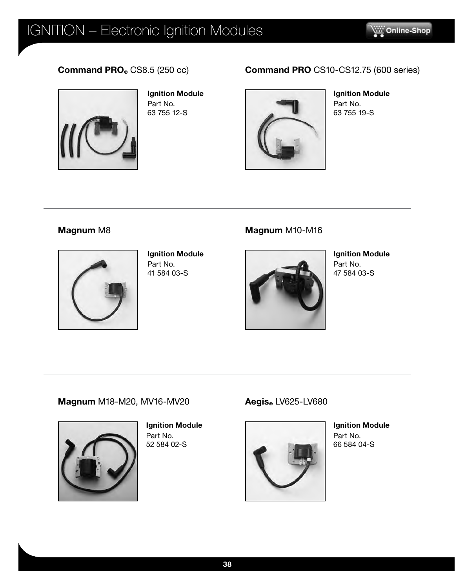#### **Command PRO®** CS8.5 (250 cc)



**Ignition Module**  Part No. 63 755 12-S

### **Command PRO** CS10-CS12.75 (600 series)



**Ignition Module**  Part No. 63 755 19-S

#### **Magnum** M8



**Ignition Module**  Part No. 41 584 03-S

#### **Magnum** M10-M16



**Ignition Module** Part No. 47 584 03-S

#### **Magnum** M18-M20, MV16-MV20



**Ignition Module**  Part No. 52 584 02-S

#### **Aegis®** LV625-LV680



**Ignition Module**  Part No. 66 584 04-S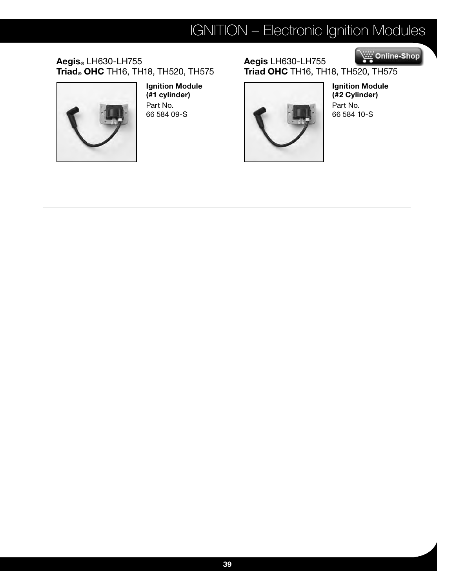## IGNITION – Electronic Ignition Modules

**Aegis®** LH630-LH755 **Triad® OHC** TH16, TH18, TH520, TH575



**Ignition Module (#1 cylinder)**  Part No. 66 584 09-S

#### Online-Shop **Aegis** LH630-LH755 **Triad OHC** TH16, TH18, T[H520, TH575](http://shop.alitec.at)



**Ignition Module (#2 Cylinder)**  Part No. 66 584 10-S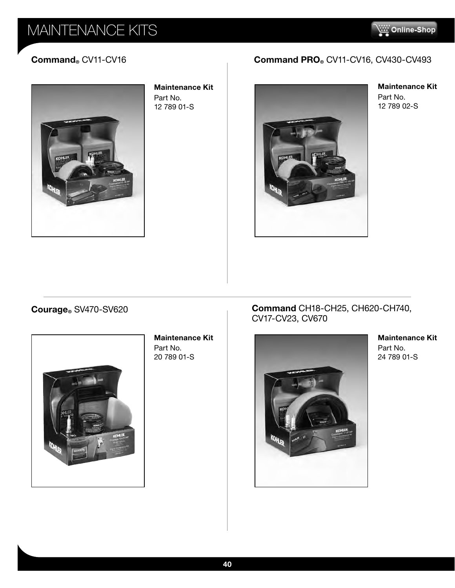### MAINTENANCE KITS

Ξ



**Maintenance Kit**  Part No. 12 789 01-S

### **Command®** CV11-CV16 **Command PRO®** CV11-CV16, CV430-CV493



**Maintenance Kit**  Part No. 12 789 02-S

#### **Courage®** SV470-SV620



**Maintenance Kit**  Part No. 20 789 01-S

#### **Command** CH18-CH25, CH620-CH740, CV17-CV23, CV670



**Maintenance Kit**  Part No. 24 789 01-S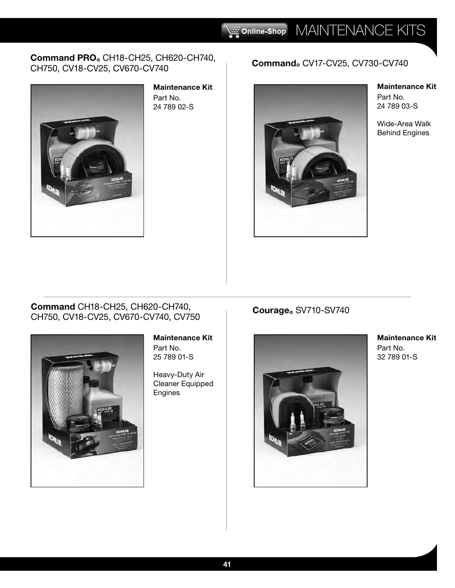#### **Command PRO®** CH18-CH25, CH620-CH740, **COMMANG PRO®** CHIG-CH25, CH620-CH740,<br>CH750, CV18-CV25, CV670-CV740 **COMMANG®** CV17-CV25, CV730-CV740



**Maintenance Kit**  Part No. 24 789 02-S



**Maintenance Kit**  Part No. 24 789 03-S

Wide-Area Walk Behind Engines

#### **Command** CH18-CH25, CH620-CH740, **Command** CH18-CH25, CH620-CH740,<br>CH750, CV18-CV25, CV670-CV740, CV750 **COUT Courage**® SV710-SV740



#### **Maintenance Kit**

Part No. 25 789 01-S

Heavy-Duty Air Cleaner Equipped Engines



**Maintenance Kit**  Part No. 32 789 01-S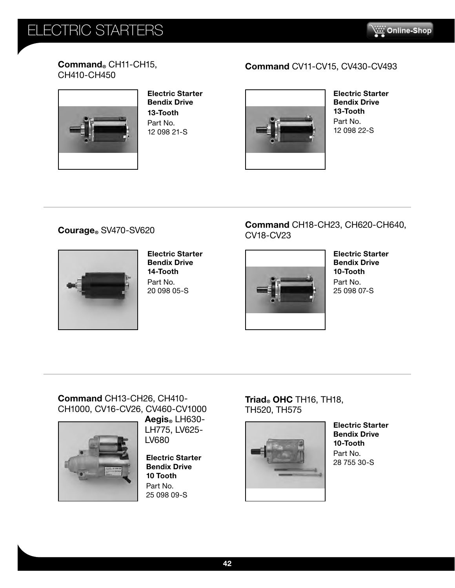### **ECTRIC STARTERS**



#### **Command®** CH11-CH15, CH410-CH450



**Electric Starter Bendix Drive 13-Tooth** Part No. 12 098 21-S

### **Command** CV11-CV15, CV430-CV493



**Electric Starter Bendix Drive 13-Tooth** Part No. 12 098 22-S

**Courage®** SV470-SV620



**Electric Starter Bendix Drive 14-Tooth** Part No. 20 098 05-S



**Command** CH18-CH23, CH620-CH640,

**Bendix Drive 10-Tooth** Part No. 25 098 07-S

#### **Command** CH13-CH26, CH410- CH1000, CV16-CV26, CV460-CV1000



**Aegis®** LH630- LH775, LV625- LV680

**Electric Starter Bendix Drive 10 Tooth** Part No. 25 098 09-S

**Triad® OHC** TH16, TH18, TH520, TH575



**Electric Starter Bendix Drive 10-Tooth** Part No. 28 755 30-S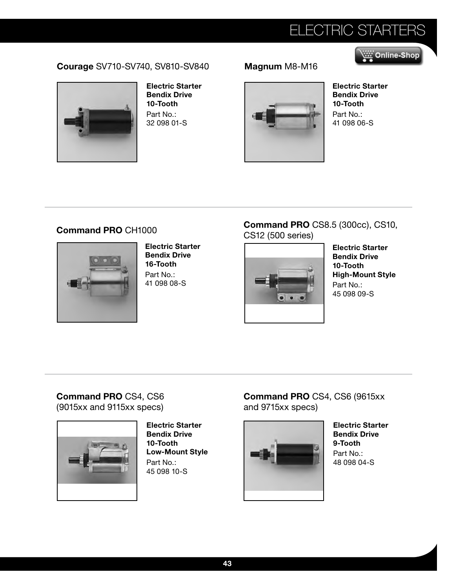## ELECTRIC STARTERS

Online-Shop

#### **Courage** SV710-SV740, SV810-SV840 **Magnum** M8-M16



**Electric Starter Bendix Drive 10-Tooth** Part No.: 32 098 01-S



**Electric Starter Bendix Drive 10-Tooth** Part No.: 41 098 06-S

#### **Command PRO** CH1000



**Electric Starter Bendix Drive 16-Tooth** Part No.: 41 098 08-S

#### **Command PRO** CS8.5 (300cc), CS10, CS12 (500 series)



**Electric Starter Bendix Drive 10-Tooth High-Mount Style** Part No.: 45 098 09-S

#### **Command PRO** CS4, CS6 (9015xx and 9115xx specs)



**Electric Starter Bendix Drive 10-Tooth Low-Mount Style** Part No.: 45 098 10-S

**Command PRO** CS4, CS6 (9615xx and 9715xx specs)



**Electric Starter Bendix Drive 9-Tooth** Part No.: 48 098 04-S